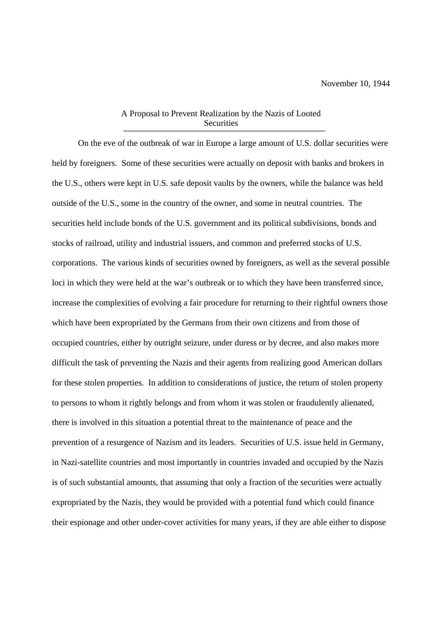## A Proposal to Prevent Realization by the Nazis of Looted **Securities**

On the eve of the outbreak of war in Europe a large amount of U.S. dollar securities were held by foreigners. Some of these securities were actually on deposit with banks and brokers in the U.S., others were kept in U.S. safe deposit vaults by the owners, while the balance was held outside of the U.S., some in the country of the owner, and some in neutral countries. The securities held include bonds of the U.S. government and its political subdivisions, bonds and stocks of railroad, utility and industrial issuers, and common and preferred stocks of U.S. corporations. The various kinds of securities owned by foreigners, as well as the several possible loci in which they were held at the war's outbreak or to which they have been transferred since, increase the complexities of evolving a fair procedure for returning to their rightful owners those which have been expropriated by the Germans from their own citizens and from those of occupied countries, either by outright seizure, under duress or by decree, and also makes more difficult the task of preventing the Nazis and their agents from realizing good American dollars for these stolen properties. In addition to considerations of justice, the return of stolen property to persons to whom it rightly belongs and from whom it was stolen or fraudulently alienated, there is involved in this situation a potential threat to the maintenance of peace and the prevention of a resurgence of Nazism and its leaders. Securities of U.S. issue held in Germany, in Nazi-satellite countries and most importantly in countries invaded and occupied by the Nazis is of such substantial amounts, that assuming that only a fraction of the securities were actually expropriated by the Nazis, they would be provided with a potential fund which could finance their espionage and other under-cover activities for many years, if they are able either to dispose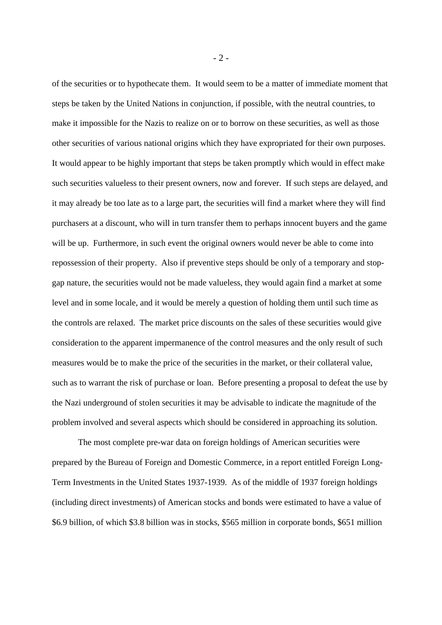of the securities or to hypothecate them. It would seem to be a matter of immediate moment that steps be taken by the United Nations in conjunction, if possible, with the neutral countries, to make it impossible for the Nazis to realize on or to borrow on these securities, as well as those other securities of various national origins which they have expropriated for their own purposes. It would appear to be highly important that steps be taken promptly which would in effect make such securities valueless to their present owners, now and forever. If such steps are delayed, and it may already be too late as to a large part, the securities will find a market where they will find purchasers at a discount, who will in turn transfer them to perhaps innocent buyers and the game will be up. Furthermore, in such event the original owners would never be able to come into repossession of their property. Also if preventive steps should be only of a temporary and stopgap nature, the securities would not be made valueless, they would again find a market at some level and in some locale, and it would be merely a question of holding them until such time as the controls are relaxed. The market price discounts on the sales of these securities would give consideration to the apparent impermanence of the control measures and the only result of such measures would be to make the price of the securities in the market, or their collateral value, such as to warrant the risk of purchase or loan. Before presenting a proposal to defeat the use by the Nazi underground of stolen securities it may be advisable to indicate the magnitude of the problem involved and several aspects which should be considered in approaching its solution.

The most complete pre-war data on foreign holdings of American securities were prepared by the Bureau of Foreign and Domestic Commerce, in a report entitled Foreign Long-Term Investments in the United States 1937-1939. As of the middle of 1937 foreign holdings (including direct investments) of American stocks and bonds were estimated to have a value of \$6.9 billion, of which \$3.8 billion was in stocks, \$565 million in corporate bonds, \$651 million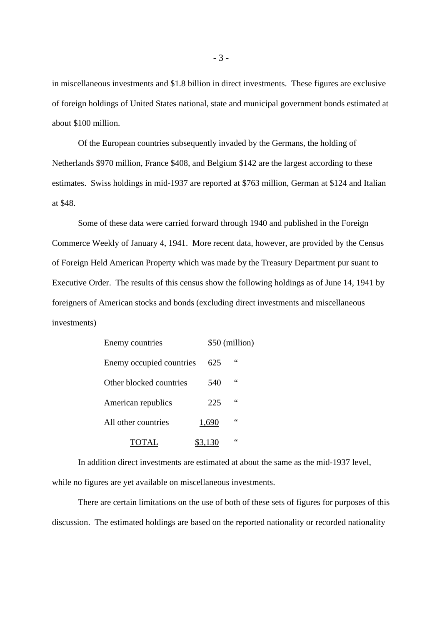in miscellaneous investments and \$1.8 billion in direct investments. These figures are exclusive of foreign holdings of United States national, state and municipal government bonds estimated at about \$100 million.

Of the European countries subsequently invaded by the Germans, the holding of Netherlands \$970 million, France \$408, and Belgium \$142 are the largest according to these estimates. Swiss holdings in mid-1937 are reported at \$763 million, German at \$124 and Italian at \$48.

Some of these data were carried forward through 1940 and published in the Foreign Commerce Weekly of January 4, 1941. More recent data, however, are provided by the Census of Foreign Held American Property which was made by the Treasury Department pur suant to Executive Order. The results of this census show the following holdings as of June 14, 1941 by foreigners of American stocks and bonds (excluding direct investments and miscellaneous investments)

| Enemy countries          |         | \$50 (million) |  |
|--------------------------|---------|----------------|--|
| Enemy occupied countries | 625     | 66             |  |
| Other blocked countries  | 540     | 66             |  |
| American republics       | 225     | 66             |  |
| All other countries      | 1,690   | 66             |  |
| <b>TOTAL</b>             | \$3,130 | 66             |  |

In addition direct investments are estimated at about the same as the mid-1937 level, while no figures are yet available on miscellaneous investments.

There are certain limitations on the use of both of these sets of figures for purposes of this discussion. The estimated holdings are based on the reported nationality or recorded nationality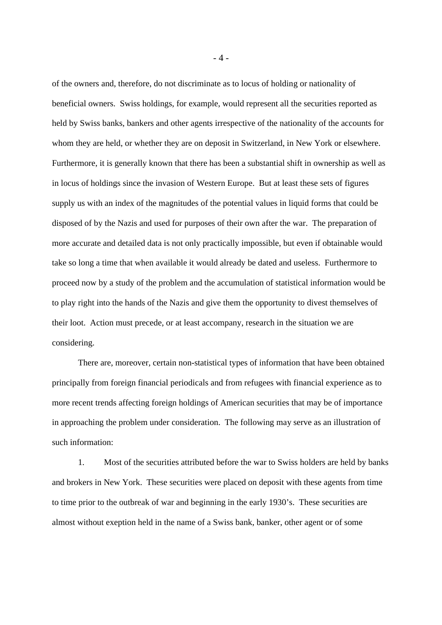of the owners and, therefore, do not discriminate as to locus of holding or nationality of beneficial owners. Swiss holdings, for example, would represent all the securities reported as held by Swiss banks, bankers and other agents irrespective of the nationality of the accounts for whom they are held, or whether they are on deposit in Switzerland, in New York or elsewhere. Furthermore, it is generally known that there has been a substantial shift in ownership as well as in locus of holdings since the invasion of Western Europe. But at least these sets of figures supply us with an index of the magnitudes of the potential values in liquid forms that could be disposed of by the Nazis and used for purposes of their own after the war. The preparation of more accurate and detailed data is not only practically impossible, but even if obtainable would take so long a time that when available it would already be dated and useless. Furthermore to proceed now by a study of the problem and the accumulation of statistical information would be to play right into the hands of the Nazis and give them the opportunity to divest themselves of their loot. Action must precede, or at least accompany, research in the situation we are considering.

There are, moreover, certain non-statistical types of information that have been obtained principally from foreign financial periodicals and from refugees with financial experience as to more recent trends affecting foreign holdings of American securities that may be of importance in approaching the problem under consideration. The following may serve as an illustration of such information:

1. Most of the securities attributed before the war to Swiss holders are held by banks and brokers in New York. These securities were placed on deposit with these agents from time to time prior to the outbreak of war and beginning in the early 1930's. These securities are almost without exeption held in the name of a Swiss bank, banker, other agent or of some

- 4 -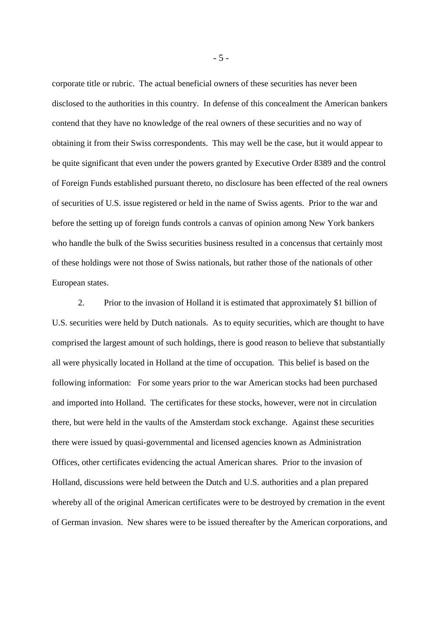corporate title or rubric. The actual beneficial owners of these securities has never been disclosed to the authorities in this country. In defense of this concealment the American bankers contend that they have no knowledge of the real owners of these securities and no way of obtaining it from their Swiss correspondents. This may well be the case, but it would appear to be quite significant that even under the powers granted by Executive Order 8389 and the control of Foreign Funds established pursuant thereto, no disclosure has been effected of the real owners of securities of U.S. issue registered or held in the name of Swiss agents. Prior to the war and before the setting up of foreign funds controls a canvas of opinion among New York bankers who handle the bulk of the Swiss securities business resulted in a concensus that certainly most of these holdings were not those of Swiss nationals, but rather those of the nationals of other European states.

2. Prior to the invasion of Holland it is estimated that approximately \$1 billion of U.S. securities were held by Dutch nationals. As to equity securities, which are thought to have comprised the largest amount of such holdings, there is good reason to believe that substantially all were physically located in Holland at the time of occupation. This belief is based on the following information: For some years prior to the war American stocks had been purchased and imported into Holland. The certificates for these stocks, however, were not in circulation there, but were held in the vaults of the Amsterdam stock exchange. Against these securities there were issued by quasi-governmental and licensed agencies known as Administration Offices, other certificates evidencing the actual American shares. Prior to the invasion of Holland, discussions were held between the Dutch and U.S. authorities and a plan prepared whereby all of the original American certificates were to be destroyed by cremation in the event of German invasion. New shares were to be issued thereafter by the American corporations, and

- 5 -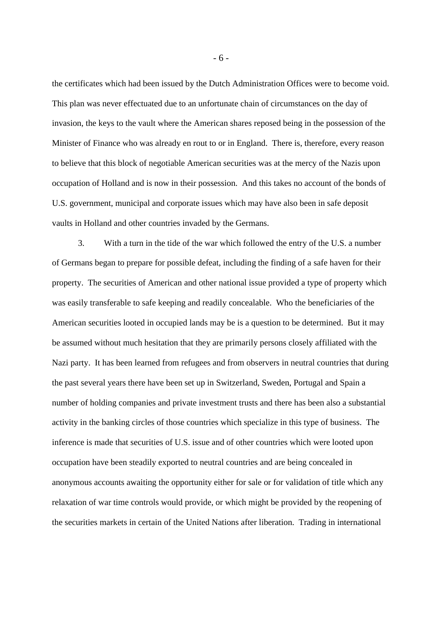the certificates which had been issued by the Dutch Administration Offices were to become void. This plan was never effectuated due to an unfortunate chain of circumstances on the day of invasion, the keys to the vault where the American shares reposed being in the possession of the Minister of Finance who was already en rout to or in England. There is, therefore, every reason to believe that this block of negotiable American securities was at the mercy of the Nazis upon occupation of Holland and is now in their possession. And this takes no account of the bonds of U.S. government, municipal and corporate issues which may have also been in safe deposit vaults in Holland and other countries invaded by the Germans.

3. With a turn in the tide of the war which followed the entry of the U.S. a number of Germans began to prepare for possible defeat, including the finding of a safe haven for their property. The securities of American and other national issue provided a type of property which was easily transferable to safe keeping and readily concealable. Who the beneficiaries of the American securities looted in occupied lands may be is a question to be determined. But it may be assumed without much hesitation that they are primarily persons closely affiliated with the Nazi party. It has been learned from refugees and from observers in neutral countries that during the past several years there have been set up in Switzerland, Sweden, Portugal and Spain a number of holding companies and private investment trusts and there has been also a substantial activity in the banking circles of those countries which specialize in this type of business. The inference is made that securities of U.S. issue and of other countries which were looted upon occupation have been steadily exported to neutral countries and are being concealed in anonymous accounts awaiting the opportunity either for sale or for validation of title which any relaxation of war time controls would provide, or which might be provided by the reopening of the securities markets in certain of the United Nations after liberation. Trading in international

- 6 -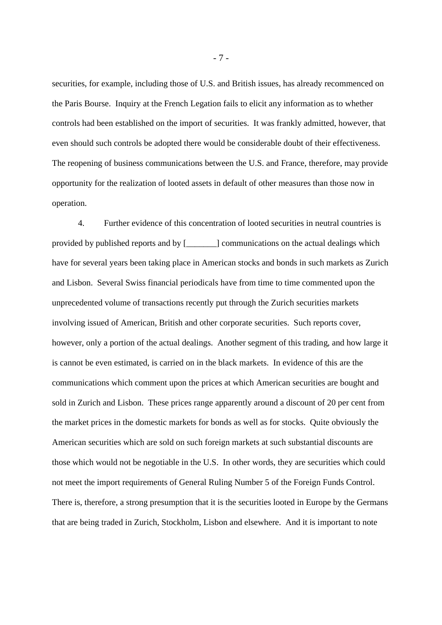securities, for example, including those of U.S. and British issues, has already recommenced on the Paris Bourse. Inquiry at the French Legation fails to elicit any information as to whether controls had been established on the import of securities. It was frankly admitted, however, that even should such controls be adopted there would be considerable doubt of their effectiveness. The reopening of business communications between the U.S. and France, therefore, may provide opportunity for the realization of looted assets in default of other measures than those now in operation.

4. Further evidence of this concentration of looted securities in neutral countries is provided by published reports and by [\_\_\_\_\_\_\_] communications on the actual dealings which have for several years been taking place in American stocks and bonds in such markets as Zurich and Lisbon. Several Swiss financial periodicals have from time to time commented upon the unprecedented volume of transactions recently put through the Zurich securities markets involving issued of American, British and other corporate securities. Such reports cover, however, only a portion of the actual dealings. Another segment of this trading, and how large it is cannot be even estimated, is carried on in the black markets. In evidence of this are the communications which comment upon the prices at which American securities are bought and sold in Zurich and Lisbon. These prices range apparently around a discount of 20 per cent from the market prices in the domestic markets for bonds as well as for stocks. Quite obviously the American securities which are sold on such foreign markets at such substantial discounts are those which would not be negotiable in the U.S. In other words, they are securities which could not meet the import requirements of General Ruling Number 5 of the Foreign Funds Control. There is, therefore, a strong presumption that it is the securities looted in Europe by the Germans that are being traded in Zurich, Stockholm, Lisbon and elsewhere. And it is important to note

- 7 -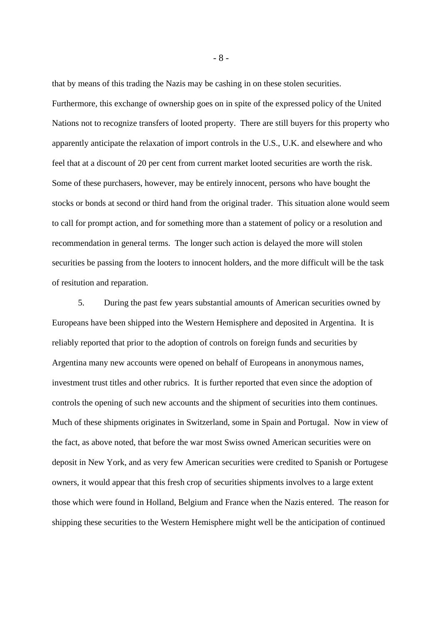that by means of this trading the Nazis may be cashing in on these stolen securities. Furthermore, this exchange of ownership goes on in spite of the expressed policy of the United Nations not to recognize transfers of looted property. There are still buyers for this property who apparently anticipate the relaxation of import controls in the U.S., U.K. and elsewhere and who feel that at a discount of 20 per cent from current market looted securities are worth the risk. Some of these purchasers, however, may be entirely innocent, persons who have bought the stocks or bonds at second or third hand from the original trader. This situation alone would seem to call for prompt action, and for something more than a statement of policy or a resolution and recommendation in general terms. The longer such action is delayed the more will stolen securities be passing from the looters to innocent holders, and the more difficult will be the task of resitution and reparation.

5. During the past few years substantial amounts of American securities owned by Europeans have been shipped into the Western Hemisphere and deposited in Argentina. It is reliably reported that prior to the adoption of controls on foreign funds and securities by Argentina many new accounts were opened on behalf of Europeans in anonymous names, investment trust titles and other rubrics. It is further reported that even since the adoption of controls the opening of such new accounts and the shipment of securities into them continues. Much of these shipments originates in Switzerland, some in Spain and Portugal. Now in view of the fact, as above noted, that before the war most Swiss owned American securities were on deposit in New York, and as very few American securities were credited to Spanish or Portugese owners, it would appear that this fresh crop of securities shipments involves to a large extent those which were found in Holland, Belgium and France when the Nazis entered. The reason for shipping these securities to the Western Hemisphere might well be the anticipation of continued

- 8 -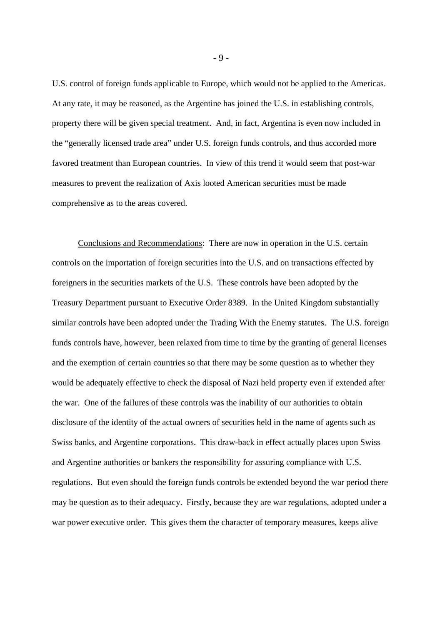U.S. control of foreign funds applicable to Europe, which would not be applied to the Americas. At any rate, it may be reasoned, as the Argentine has joined the U.S. in establishing controls, property there will be given special treatment. And, in fact, Argentina is even now included in the "generally licensed trade area" under U.S. foreign funds controls, and thus accorded more favored treatment than European countries. In view of this trend it would seem that post-war measures to prevent the realization of Axis looted American securities must be made comprehensive as to the areas covered.

Conclusions and Recommendations: There are now in operation in the U.S. certain controls on the importation of foreign securities into the U.S. and on transactions effected by foreigners in the securities markets of the U.S. These controls have been adopted by the Treasury Department pursuant to Executive Order 8389. In the United Kingdom substantially similar controls have been adopted under the Trading With the Enemy statutes. The U.S. foreign funds controls have, however, been relaxed from time to time by the granting of general licenses and the exemption of certain countries so that there may be some question as to whether they would be adequately effective to check the disposal of Nazi held property even if extended after the war. One of the failures of these controls was the inability of our authorities to obtain disclosure of the identity of the actual owners of securities held in the name of agents such as Swiss banks, and Argentine corporations. This draw-back in effect actually places upon Swiss and Argentine authorities or bankers the responsibility for assuring compliance with U.S. regulations. But even should the foreign funds controls be extended beyond the war period there may be question as to their adequacy. Firstly, because they are war regulations, adopted under a war power executive order. This gives them the character of temporary measures, keeps alive

- 9 -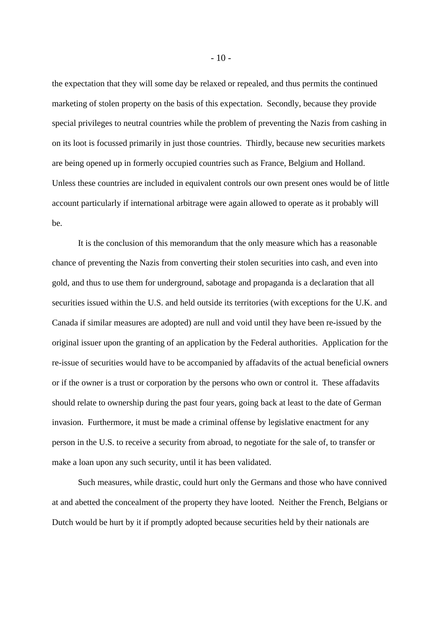the expectation that they will some day be relaxed or repealed, and thus permits the continued marketing of stolen property on the basis of this expectation. Secondly, because they provide special privileges to neutral countries while the problem of preventing the Nazis from cashing in on its loot is focussed primarily in just those countries. Thirdly, because new securities markets are being opened up in formerly occupied countries such as France, Belgium and Holland. Unless these countries are included in equivalent controls our own present ones would be of little account particularly if international arbitrage were again allowed to operate as it probably will be.

It is the conclusion of this memorandum that the only measure which has a reasonable chance of preventing the Nazis from converting their stolen securities into cash, and even into gold, and thus to use them for underground, sabotage and propaganda is a declaration that all securities issued within the U.S. and held outside its territories (with exceptions for the U.K. and Canada if similar measures are adopted) are null and void until they have been re-issued by the original issuer upon the granting of an application by the Federal authorities. Application for the re-issue of securities would have to be accompanied by affadavits of the actual beneficial owners or if the owner is a trust or corporation by the persons who own or control it. These affadavits should relate to ownership during the past four years, going back at least to the date of German invasion. Furthermore, it must be made a criminal offense by legislative enactment for any person in the U.S. to receive a security from abroad, to negotiate for the sale of, to transfer or make a loan upon any such security, until it has been validated.

Such measures, while drastic, could hurt only the Germans and those who have connived at and abetted the concealment of the property they have looted. Neither the French, Belgians or Dutch would be hurt by it if promptly adopted because securities held by their nationals are

 $-10-$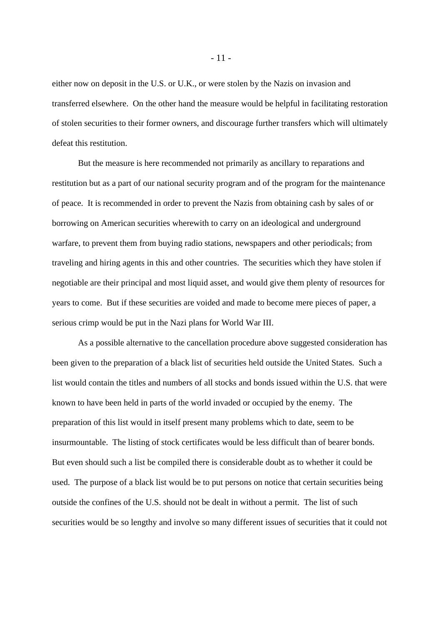either now on deposit in the U.S. or U.K., or were stolen by the Nazis on invasion and transferred elsewhere. On the other hand the measure would be helpful in facilitating restoration of stolen securities to their former owners, and discourage further transfers which will ultimately defeat this restitution.

But the measure is here recommended not primarily as ancillary to reparations and restitution but as a part of our national security program and of the program for the maintenance of peace. It is recommended in order to prevent the Nazis from obtaining cash by sales of or borrowing on American securities wherewith to carry on an ideological and underground warfare, to prevent them from buying radio stations, newspapers and other periodicals; from traveling and hiring agents in this and other countries. The securities which they have stolen if negotiable are their principal and most liquid asset, and would give them plenty of resources for years to come. But if these securities are voided and made to become mere pieces of paper, a serious crimp would be put in the Nazi plans for World War III.

As a possible alternative to the cancellation procedure above suggested consideration has been given to the preparation of a black list of securities held outside the United States. Such a list would contain the titles and numbers of all stocks and bonds issued within the U.S. that were known to have been held in parts of the world invaded or occupied by the enemy. The preparation of this list would in itself present many problems which to date, seem to be insurmountable. The listing of stock certificates would be less difficult than of bearer bonds. But even should such a list be compiled there is considerable doubt as to whether it could be used. The purpose of a black list would be to put persons on notice that certain securities being outside the confines of the U.S. should not be dealt in without a permit. The list of such securities would be so lengthy and involve so many different issues of securities that it could not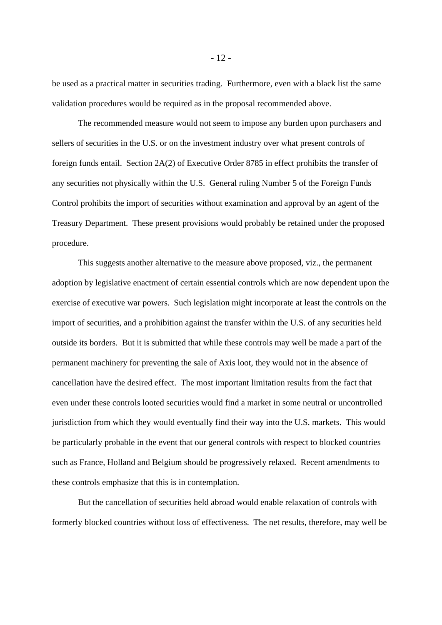be used as a practical matter in securities trading. Furthermore, even with a black list the same validation procedures would be required as in the proposal recommended above.

The recommended measure would not seem to impose any burden upon purchasers and sellers of securities in the U.S. or on the investment industry over what present controls of foreign funds entail. Section 2A(2) of Executive Order 8785 in effect prohibits the transfer of any securities not physically within the U.S. General ruling Number 5 of the Foreign Funds Control prohibits the import of securities without examination and approval by an agent of the Treasury Department. These present provisions would probably be retained under the proposed procedure.

This suggests another alternative to the measure above proposed, viz., the permanent adoption by legislative enactment of certain essential controls which are now dependent upon the exercise of executive war powers. Such legislation might incorporate at least the controls on the import of securities, and a prohibition against the transfer within the U.S. of any securities held outside its borders. But it is submitted that while these controls may well be made a part of the permanent machinery for preventing the sale of Axis loot, they would not in the absence of cancellation have the desired effect. The most important limitation results from the fact that even under these controls looted securities would find a market in some neutral or uncontrolled jurisdiction from which they would eventually find their way into the U.S. markets. This would be particularly probable in the event that our general controls with respect to blocked countries such as France, Holland and Belgium should be progressively relaxed. Recent amendments to these controls emphasize that this is in contemplation.

But the cancellation of securities held abroad would enable relaxation of controls with formerly blocked countries without loss of effectiveness. The net results, therefore, may well be